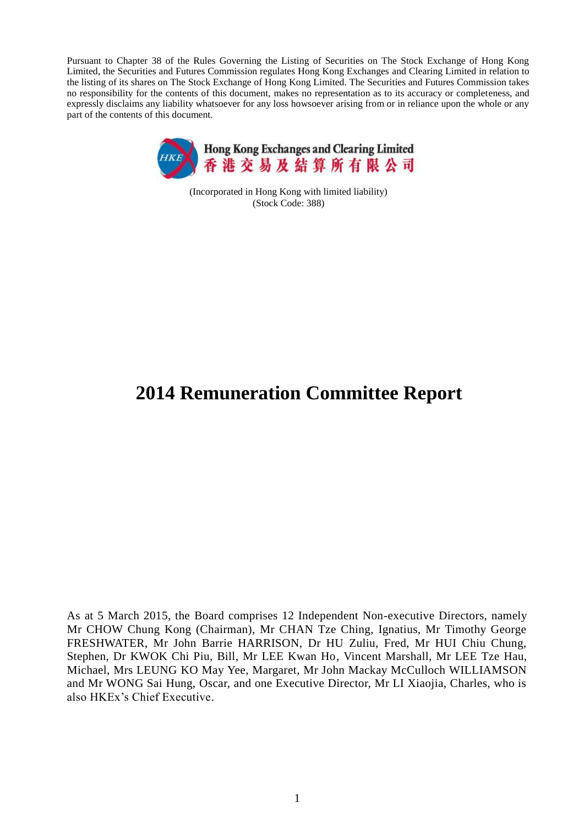Pursuant to Chapter 38 of the Rules Governing the Listing of Securities on The Stock Exchange of Hong Kong Limited, the Securities and Futures Commission regulates Hong Kong Exchanges and Clearing Limited in relation to the listing of its shares on The Stock Exchange of Hong Kong Limited. The Securities and Futures Commission takes no responsibility for the contents of this document, makes no representation as to its accuracy or completeness, and expressly disclaims any liability whatsoever for any loss howsoever arising from or in reliance upon the whole or any part of the contents of this document.



(Incorporated in Hong Kong with limited liability) (Stock Code: 388)

# **2014 Remuneration Committee Report**

As at 5 March 2015, the Board comprises 12 Independent Non-executive Directors, namely Mr CHOW Chung Kong (Chairman), Mr CHAN Tze Ching, Ignatius, Mr Timothy George FRESHWATER, Mr John Barrie HARRISON, Dr HU Zuliu, Fred, Mr HUI Chiu Chung, Stephen, Dr KWOK Chi Piu, Bill, Mr LEE Kwan Ho, Vincent Marshall, Mr LEE Tze Hau, Michael, Mrs LEUNG KO May Yee, Margaret, Mr John Mackay McCulloch WILLIAMSON and Mr WONG Sai Hung, Oscar, and one Executive Director, Mr LI Xiaojia, Charles, who is also HKEx's Chief Executive.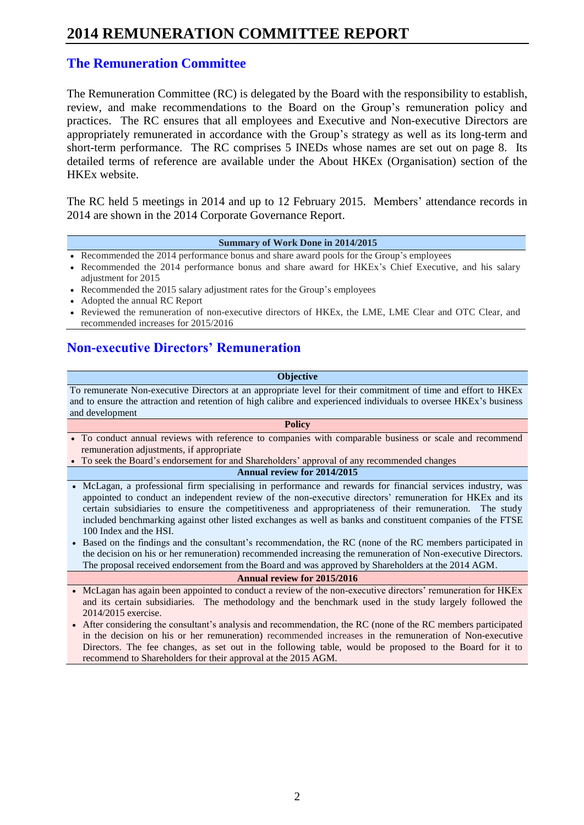### **The Remuneration Committee**

The Remuneration Committee (RC) is delegated by the Board with the responsibility to establish, review, and make recommendations to the Board on the Group's remuneration policy and practices. The RC ensures that all employees and Executive and Non-executive Directors are appropriately remunerated in accordance with the Group's strategy as well as its long-term and short-term performance. The RC comprises 5 INEDs whose names are set out on page 8. Its detailed terms of reference are available under the About HKEx (Organisation) section of the HKEx website.

The RC held 5 meetings in 2014 and up to 12 February 2015. Members' attendance records in 2014 are shown in the 2014 Corporate Governance Report.

#### **Summary of Work Done in 2014/2015**

- Recommended the 2014 performance bonus and share award pools for the Group's employees
- Recommended the 2014 performance bonus and share award for HKEx's Chief Executive, and his salary adjustment for 2015
- Recommended the 2015 salary adjustment rates for the Group's employees
- Adopted the annual RC Report
- Reviewed the remuneration of non-executive directors of HKEx, the LME, LME Clear and OTC Clear, and recommended increases for 2015/2016

### **Non-executive Directors' Remuneration**

#### **Objective**

To remunerate Non-executive Directors at an appropriate level for their commitment of time and effort to HKEx and to ensure the attraction and retention of high calibre and experienced individuals to oversee HKEx's business and development

- **Policy** To conduct annual reviews with reference to companies with comparable business or scale and recommend remuneration adjustments, if appropriate
- To seek the Board's endorsement for and Shareholders' approval of any recommended changes

#### **Annual review for 2014/2015**

- McLagan, a professional firm specialising in performance and rewards for financial services industry, was appointed to conduct an independent review of the non-executive directors' remuneration for HKEx and its certain subsidiaries to ensure the competitiveness and appropriateness of their remuneration. The study included benchmarking against other listed exchanges as well as banks and constituent companies of the FTSE 100 Index and the HSI.
- Based on the findings and the consultant's recommendation, the RC (none of the RC members participated in the decision on his or her remuneration) recommended increasing the remuneration of Non-executive Directors. The proposal received endorsement from the Board and was approved by Shareholders at the 2014 AGM.

#### **Annual review for 2015/2016**

- McLagan has again been appointed to conduct a review of the non-executive directors' remuneration for HKEx and its certain subsidiaries. The methodology and the benchmark used in the study largely followed the 2014/2015 exercise.
- After considering the consultant's analysis and recommendation, the RC (none of the RC members participated in the decision on his or her remuneration) recommended increases in the remuneration of Non-executive Directors. The fee changes, as set out in the following table, would be proposed to the Board for it to recommend to Shareholders for their approval at the 2015 AGM.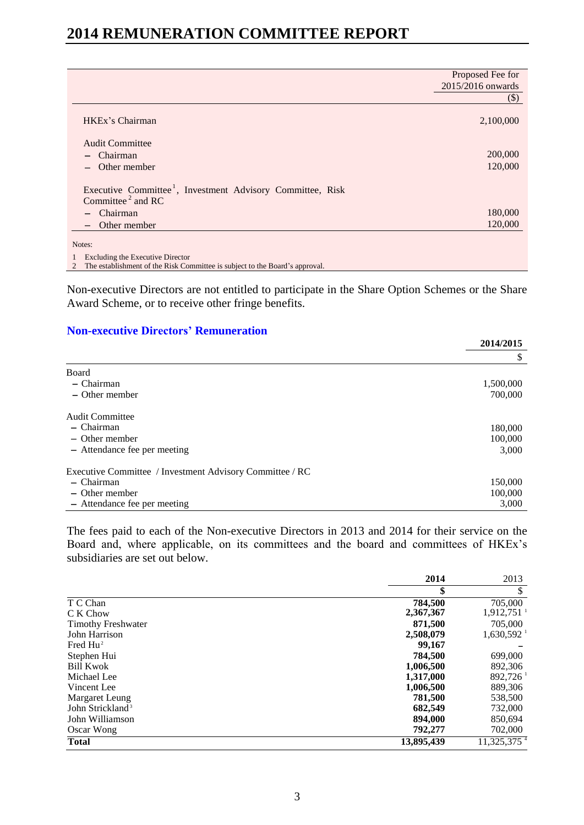|                                                                                                                      | Proposed Fee for  |
|----------------------------------------------------------------------------------------------------------------------|-------------------|
|                                                                                                                      | 2015/2016 onwards |
|                                                                                                                      | $(\$)$            |
| HKEx's Chairman                                                                                                      | 2,100,000         |
| <b>Audit Committee</b>                                                                                               |                   |
| Chairman                                                                                                             | 200,000           |
| Other member                                                                                                         | 120,000           |
| Executive Committee <sup>1</sup> , Investment Advisory Committee, Risk<br>Committee <sup><math>2</math></sup> and RC |                   |
| Chairman                                                                                                             | 180,000           |
| Other member                                                                                                         | 120,000           |
| Notes:                                                                                                               |                   |
| Excluding the Executive Director<br>$\mathbf{1}$                                                                     |                   |
| The establishment of the Risk Committee is subject to the Board's approval.<br>2                                     |                   |

Non-executive Directors are not entitled to participate in the Share Option Schemes or the Share Award Scheme, or to receive other fringe benefits.

### **Non-executive Directors' Remuneration**

|                                                          | 2014/2015 |
|----------------------------------------------------------|-----------|
|                                                          | \$        |
| Board                                                    |           |
| $-$ Chairman                                             | 1,500,000 |
| $-$ Other member                                         | 700,000   |
| <b>Audit Committee</b>                                   |           |
| - Chairman                                               | 180,000   |
| $-$ Other member                                         | 100,000   |
| - Attendance fee per meeting                             | 3,000     |
| Executive Committee / Investment Advisory Committee / RC |           |
| $-$ Chairman                                             | 150,000   |
| $-$ Other member                                         | 100,000   |
| - Attendance fee per meeting                             | 3,000     |

The fees paid to each of the Non-executive Directors in 2013 and 2014 for their service on the Board and, where applicable, on its committees and the board and committees of HKEx's subsidiaries are set out below.

|                              | 2014       | 2013                     |
|------------------------------|------------|--------------------------|
|                              | \$         | \$                       |
| T C Chan                     | 784,500    | 705,000                  |
| C K Chow                     | 2,367,367  | $1,912,751$ <sup>1</sup> |
| <b>Timothy Freshwater</b>    | 871.500    | 705,000                  |
| John Harrison                | 2,508,079  | $1,630,592$ <sup>1</sup> |
| Fred $Hu^2$                  | 99,167     |                          |
| Stephen Hui                  | 784.500    | 699,000                  |
| <b>Bill Kwok</b>             | 1,006,500  | 892,306                  |
| Michael Lee                  | 1,317,000  | 892,726                  |
| Vincent Lee                  | 1,006,500  | 889,306                  |
| Margaret Leung               | 781.500    | 538,500                  |
| John Strickland <sup>3</sup> | 682,549    | 732,000                  |
| John Williamson              | 894,000    | 850,694                  |
| Oscar Wong                   | 792,277    | 702,000                  |
| <b>Total</b>                 | 13,895,439 | 11,325,375 <sup>4</sup>  |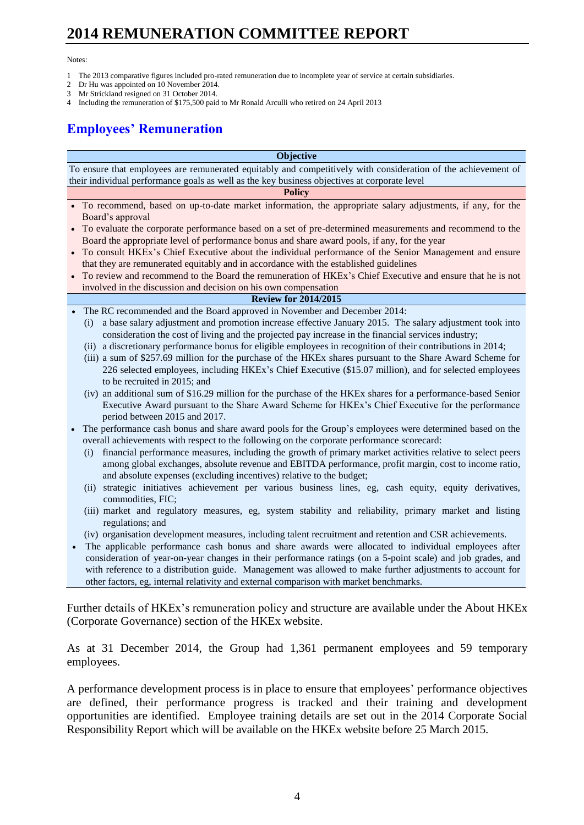#### Notes:

- 1 The 2013 comparative figures included pro-rated remuneration due to incomplete year of service at certain subsidiaries.
- 2 Dr Hu was appointed on 10 November 2014.<br>3 Mr Strickland resigned on 31 October 2014.
- Mr Strickland resigned on 31 October 2014.
- 4 Including the remuneration of \$175,500 paid to Mr Ronald Arculli who retired on 24 April 2013

## **Employees' Remuneration**

#### **Objective**

To ensure that employees are remunerated equitably and competitively with consideration of the achievement of their individual performance goals as well as the key business objectives at corporate level

#### **Policy**

- To recommend, based on up-to-date market information, the appropriate salary adjustments, if any, for the Board's approval
- To evaluate the corporate performance based on a set of pre-determined measurements and recommend to the Board the appropriate level of performance bonus and share award pools, if any, for the year
- To consult HKEx's Chief Executive about the individual performance of the Senior Management and ensure that they are remunerated equitably and in accordance with the established guidelines
- To review and recommend to the Board the remuneration of HKEx's Chief Executive and ensure that he is not involved in the discussion and decision on his own compensation

### **Review for 2014/2015**

- The RC recommended and the Board approved in November and December 2014:
	- (i) a base salary adjustment and promotion increase effective January 2015. The salary adjustment took into consideration the cost of living and the projected pay increase in the financial services industry;
	- (ii) a discretionary performance bonus for eligible employees in recognition of their contributions in 2014;
	- (iii) a sum of \$257.69 million for the purchase of the HKEx shares pursuant to the Share Award Scheme for 226 selected employees, including HKEx's Chief Executive (\$15.07 million), and for selected employees to be recruited in 2015; and
	- (iv) an additional sum of \$16.29 million for the purchase of the HKEx shares for a performance-based Senior Executive Award pursuant to the Share Award Scheme for HKEx's Chief Executive for the performance period between 2015 and 2017.
- The performance cash bonus and share award pools for the Group's employees were determined based on the overall achievements with respect to the following on the corporate performance scorecard:
	- (i) financial performance measures, including the growth of primary market activities relative to select peers among global exchanges, absolute revenue and EBITDA performance, profit margin, cost to income ratio, and absolute expenses (excluding incentives) relative to the budget;
	- (ii) strategic initiatives achievement per various business lines, eg, cash equity, equity derivatives, commodities, FIC;
	- (iii) market and regulatory measures, eg, system stability and reliability, primary market and listing regulations; and
	- (iv) organisation development measures, including talent recruitment and retention and CSR achievements.
- The applicable performance cash bonus and share awards were allocated to individual employees after consideration of year-on-year changes in their performance ratings (on a 5-point scale) and job grades, and with reference to a distribution guide. Management was allowed to make further adjustments to account for other factors, eg, internal relativity and external comparison with market benchmarks.

Further details of HKEx's remuneration policy and structure are available under the About HKEx (Corporate Governance) section of the HKEx website.

As at 31 December 2014, the Group had 1,361 permanent employees and 59 temporary employees.

A performance development process is in place to ensure that employees' performance objectives are defined, their performance progress is tracked and their training and development opportunities are identified. Employee training details are set out in the 2014 Corporate Social Responsibility Report which will be available on the HKEx website before 25 March 2015.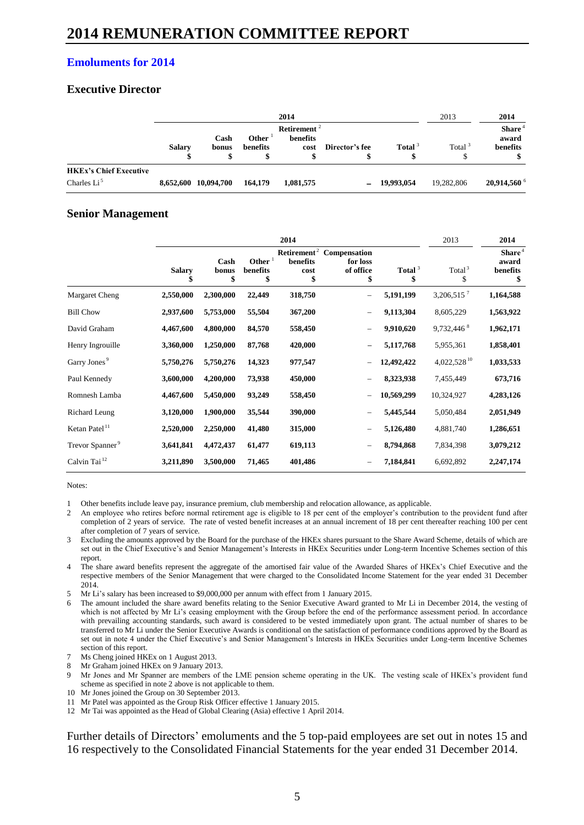### **Emoluments for 2014**

### **Executive Director**

|                                                | 2014          |                      |                          |                                             |                | 2013                     | 2014       |                                     |
|------------------------------------------------|---------------|----------------------|--------------------------|---------------------------------------------|----------------|--------------------------|------------|-------------------------------------|
|                                                | <b>Salary</b> | Cash<br>bonus<br>Φ   | <b>Other</b><br>benefits | Retirement <sup>2</sup><br>benefits<br>cost | Director's fee | Total <sup>3</sup><br>\$ | Total $3$  | Share $4$<br>award<br>benefits<br>จ |
| <b>HKEx's Chief Executive</b><br>Charles $Li5$ |               | 8,652,600 10,094,700 | 164,179                  | 1,081,575                                   |                | $-19.993.054$            | 19,282,806 | $20,914,560$ <sup>6</sup>           |

### **Senior Management**

|                             | 2014                |                     |                             |                        |                                                                     |                 |                          | 2014                                          |
|-----------------------------|---------------------|---------------------|-----------------------------|------------------------|---------------------------------------------------------------------|-----------------|--------------------------|-----------------------------------------------|
|                             | <b>Salary</b><br>\$ | Cash<br>bonus<br>\$ | Other $1$<br>benefits<br>\$ | benefits<br>cost<br>\$ | Retirement <sup>2</sup> Compensation<br>for loss<br>of office<br>\$ | Total $3$<br>\$ | Total <sup>3</sup><br>\$ | Share <sup>4</sup><br>award<br>benefits<br>\$ |
| Margaret Cheng              | 2,550,000           | 2,300,000           | 22,449                      | 318,750                | $\overline{\phantom{0}}$                                            | 5,191,199       | 3,206,515 $^7$           | 1,164,588                                     |
| <b>Bill Chow</b>            | 2,937,600           | 5,753,000           | 55,504                      | 367,200                | $\overline{\phantom{0}}$                                            | 9,113,304       | 8,605,229                | 1,563,922                                     |
| David Graham                | 4,467,600           | 4,800,000           | 84,570                      | 558,450                | $\overline{\phantom{0}}$                                            | 9,910,620       | 9,732,446 8              | 1,962,171                                     |
| Henry Ingrouille            | 3,360,000           | 1,250,000           | 87,768                      | 420,000                |                                                                     | 5,117,768       | 5,955,361                | 1,858,401                                     |
| Garry Jones <sup>9</sup>    | 5,750,276           | 5,750,276           | 14,323                      | 977,547                |                                                                     | 12,492,422      | 4,022,528 <sup>10</sup>  | 1,033,533                                     |
| Paul Kennedy                | 3,600,000           | 4,200,000           | 73,938                      | 450,000                |                                                                     | 8,323,938       | 7,455,449                | 673,716                                       |
| Romnesh Lamba               | 4,467,600           | 5,450,000           | 93,249                      | 558,450                |                                                                     | 10,569,299      | 10,324,927               | 4,283,126                                     |
| Richard Leung               | 3,120,000           | 1,900,000           | 35,544                      | 390,000                |                                                                     | 5,445,544       | 5,050,484                | 2,051,949                                     |
| Ketan Patel <sup>11</sup>   | 2,520,000           | 2,250,000           | 41,480                      | 315,000                |                                                                     | 5,126,480       | 4,881,740                | 1,286,651                                     |
| Trevor Spanner <sup>9</sup> | 3,641,841           | 4,472,437           | 61,477                      | 619,113                |                                                                     | 8,794,868       | 7,834,398                | 3,079,212                                     |
| Calvin Tai <sup>12</sup>    | 3,211,890           | 3,500,000           | 71,465                      | 401,486                |                                                                     | 7,184,841       | 6,692,892                | 2,247,174                                     |

Notes:

1 Other benefits include leave pay, insurance premium, club membership and relocation allowance, as applicable.

- 2 An employee who retires before normal retirement age is eligible to 18 per cent of the employer's contribution to the provident fund after completion of 2 years of service. The rate of vested benefit increases at an annual increment of 18 per cent thereafter reaching 100 per cent after completion of 7 years of service.
- 3 Excluding the amounts approved by the Board for the purchase of the HKEx shares pursuant to the Share Award Scheme, details of which are set out in the Chief Executive's and Senior Management's Interests in HKEx Securities under Long-term Incentive Schemes section of this report.
- The share award benefits represent the aggregate of the amortised fair value of the Awarded Shares of HKEx's Chief Executive and the respective members of the Senior Management that were charged to the Consolidated Income Statement for the year ended 31 December 2014.
- 5 Mr Li's salary has been increased to \$9,000,000 per annum with effect from 1 January 2015.
- 6 The amount included the share award benefits relating to the Senior Executive Award granted to Mr Li in December 2014, the vesting of which is not affected by Mr Li's ceasing employment with the Group before the end of the performance assessment period. In accordance with prevailing accounting standards, such award is considered to be vested immediately upon grant. The actual number of shares to be transferred to Mr Li under the Senior Executive Awards is conditional on the satisfaction of performance conditions approved by the Board as set out in note 4 under the Chief Executive's and Senior Management's Interests in HKEx Securities under Long-term Incentive Schemes section of this report.
- Ms Cheng joined HKEx on 1 August 2013.
- 8 Mr Graham joined HKEx on 9 January 2013.
- 9 Mr Jones and Mr Spanner are members of the LME pension scheme operating in the UK. The vesting scale of HKEx's provident fund scheme as specified in note 2 above is not applicable to them.
- 10 Mr Jones joined the Group on 30 September 2013.
- 11 Mr Patel was appointed as the Group Risk Officer effective 1 January 2015.
- 12 Mr Tai was appointed as the Head of Global Clearing (Asia) effective 1 April 2014.

Further details of Directors' emoluments and the 5 top-paid employees are set out in notes 15 and 16 respectively to the Consolidated Financial Statements for the year ended 31 December 2014.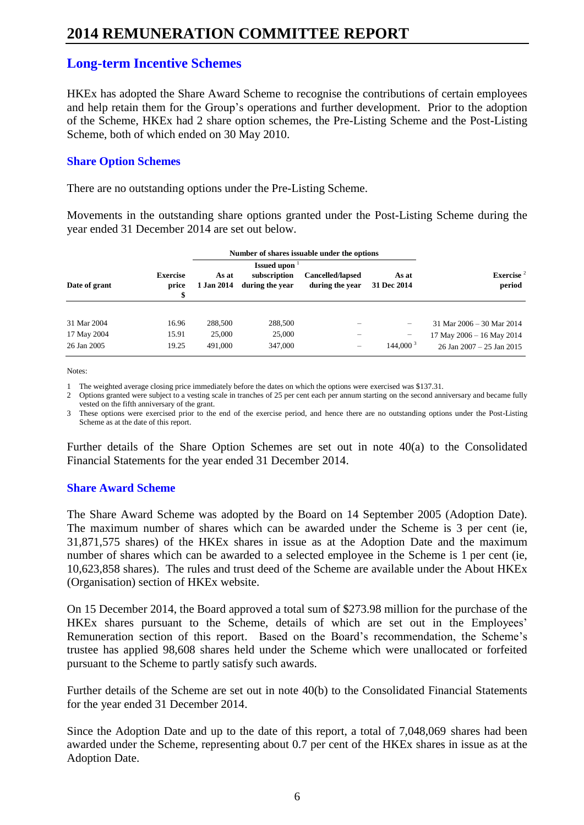### **Long-term Incentive Schemes**

HKEx has adopted the Share Award Scheme to recognise the contributions of certain employees and help retain them for the Group's operations and further development. Prior to the adoption of the Scheme, HKEx had 2 share option schemes, the Pre-Listing Scheme and the Post-Listing Scheme, both of which ended on 30 May 2010.

### **Share Option Schemes**

There are no outstanding options under the Pre-Listing Scheme.

Movements in the outstanding share options granted under the Post-Listing Scheme during the year ended 31 December 2014 are set out below.

| Date of grant | <b>Exercise</b><br>price<br>\$ | As at<br>1 Jan 2014 | <b>Issued upon</b><br>subscription<br>during the year | Cancelled/lapsed<br>during the year | As at<br>31 Dec 2014     | Exercise <sup>2</sup><br>period |
|---------------|--------------------------------|---------------------|-------------------------------------------------------|-------------------------------------|--------------------------|---------------------------------|
| 31 Mar 2004   | 16.96                          | 288,500             | 288,500                                               |                                     | $\overline{\phantom{0}}$ | 31 Mar 2006 - 30 Mar 2014       |
| 17 May 2004   | 15.91                          | 25,000              | 25,000                                                |                                     | -                        | 17 May 2006 - 16 May 2014       |
| 26 Jan 2005   | 19.25                          | 491,000             | 347,000                                               | -                                   | $144,000^3$              | 26 Jan 2007 - 25 Jan 2015       |

Notes:

1 The weighted average closing price immediately before the dates on which the options were exercised was \$137.31.

2 Options granted were subject to a vesting scale in tranches of 25 per cent each per annum starting on the second anniversary and became fully vested on the fifth anniversary of the grant.

3 These options were exercised prior to the end of the exercise period, and hence there are no outstanding options under the Post-Listing Scheme as at the date of this report.

Further details of the Share Option Schemes are set out in note 40(a) to the Consolidated Financial Statements for the year ended 31 December 2014.

### **Share Award Scheme**

The Share Award Scheme was adopted by the Board on 14 September 2005 (Adoption Date). The maximum number of shares which can be awarded under the Scheme is 3 per cent (ie, 31,871,575 shares) of the HKEx shares in issue as at the Adoption Date and the maximum number of shares which can be awarded to a selected employee in the Scheme is 1 per cent (ie, 10,623,858 shares). The rules and trust deed of the Scheme are available under the About HKEx (Organisation) section of HKEx website.

On 15 December 2014, the Board approved a total sum of \$273.98 million for the purchase of the HKEx shares pursuant to the Scheme, details of which are set out in the Employees' Remuneration section of this report. Based on the Board's recommendation, the Scheme's trustee has applied 98,608 shares held under the Scheme which were unallocated or forfeited pursuant to the Scheme to partly satisfy such awards.

Further details of the Scheme are set out in note 40(b) to the Consolidated Financial Statements for the year ended 31 December 2014.

Since the Adoption Date and up to the date of this report, a total of 7,048,069 shares had been awarded under the Scheme, representing about 0.7 per cent of the HKEx shares in issue as at the Adoption Date.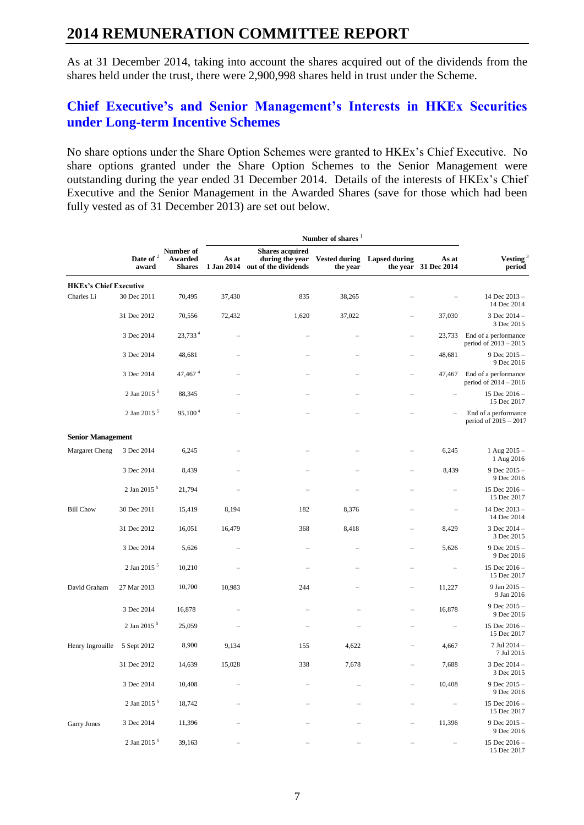As at 31 December 2014, taking into account the shares acquired out of the dividends from the shares held under the trust, there were 2,900,998 shares held in trust under the Scheme.

## **Chief Executive's and Senior Management's Interests in HKEx Securities under Long-term Incentive Schemes**

No share options under the Share Option Schemes were granted to HKEx's Chief Executive. No share options granted under the Share Option Schemes to the Senior Management were outstanding during the year ended 31 December 2014. Details of the interests of HKEx's Chief Executive and the Senior Management in the Awarded Shares (save for those which had been fully vested as of 31 December 2013) are set out below.

|                               |                         |                                       | Number of shares <sup>1</sup> |                                                                   |                                  |                          |                               |                                                 |
|-------------------------------|-------------------------|---------------------------------------|-------------------------------|-------------------------------------------------------------------|----------------------------------|--------------------------|-------------------------------|-------------------------------------------------|
|                               | Date of $^2$<br>award   | Number of<br>Awarded<br><b>Shares</b> | As at<br>1 Jan 2014           | <b>Shares acquired</b><br>during the year<br>out of the dividends | <b>Vested during</b><br>the year | <b>Lapsed during</b>     | As at<br>the year 31 Dec 2014 | Vesting <sup>3</sup><br>period                  |
| <b>HKEx's Chief Executive</b> |                         |                                       |                               |                                                                   |                                  |                          |                               |                                                 |
| Charles Li                    | 30 Dec 2011             | 70,495                                | 37,430                        | 835                                                               | 38,265                           |                          |                               | 14 Dec 2013-<br>14 Dec 2014                     |
|                               | 31 Dec 2012             | 70,556                                | 72,432                        | 1,620                                                             | 37,022                           | $\overline{\phantom{0}}$ | 37,030                        | 3 Dec 2014 -<br>3 Dec 2015                      |
|                               | 3 Dec 2014              | $23,733^4$                            | $\equiv$                      | -                                                                 |                                  | -                        | 23,733                        | End of a performance<br>period of $2013 - 2015$ |
|                               | 3 Dec 2014              | 48,681                                |                               |                                                                   |                                  |                          | 48,681                        | 9 Dec $2015 -$<br>9 Dec 2016                    |
|                               | 3 Dec 2014              | $47,467$ <sup>4</sup>                 | $\overline{\phantom{0}}$      |                                                                   |                                  | $\overline{\phantom{0}}$ | 47,467                        | End of a performance<br>period of $2014 - 2016$ |
|                               | 2 Jan 2015 <sup>5</sup> | 88,345                                |                               |                                                                   |                                  |                          |                               | 15 Dec $2016 -$<br>15 Dec 2017                  |
|                               | 2 Jan 2015 <sup>5</sup> | 95,100 <sup>4</sup>                   | ÷                             |                                                                   | $\overline{\phantom{0}}$         | $\equiv$                 | $\overline{\phantom{0}}$      | End of a performance<br>period of $2015 - 2017$ |
| <b>Senior Management</b>      |                         |                                       |                               |                                                                   |                                  |                          |                               |                                                 |
| Margaret Cheng                | 3 Dec 2014              | 6,245                                 |                               |                                                                   |                                  |                          | 6,245                         | 1 Aug 2015 -<br>1 Aug 2016                      |
|                               | 3 Dec 2014              | 8,439                                 | -                             |                                                                   | -                                | $\overline{\phantom{m}}$ | 8,439                         | 9 Dec 2015 -<br>9 Dec 2016                      |
|                               | 2 Jan 2015 <sup>5</sup> | 21,794                                |                               |                                                                   |                                  |                          |                               | 15 Dec 2016-<br>15 Dec 2017                     |
| <b>Bill Chow</b>              | 30 Dec 2011             | 15,419                                | 8,194                         | 182                                                               | 8,376                            |                          | $\overline{\phantom{0}}$      | 14 Dec 2013-<br>14 Dec 2014                     |
|                               | 31 Dec 2012             | 16,051                                | 16,479                        | 368                                                               | 8,418                            |                          | 8,429                         | $3$ Dec $2014 -$<br>3 Dec 2015                  |
|                               | 3 Dec 2014              | 5,626                                 |                               |                                                                   |                                  |                          | 5,626                         | 9 Dec $2015 -$<br>9 Dec 2016                    |
|                               | 2 Jan 2015 <sup>5</sup> | 10,210                                |                               | $\overline{\phantom{0}}$                                          |                                  | $\overline{\phantom{0}}$ |                               | 15 Dec 2016 -<br>15 Dec 2017                    |
| David Graham                  | 27 Mar 2013             | 10,700                                | 10,983                        | 244                                                               | $\overline{a}$                   | -                        | 11,227                        | 9 Jan 2015 -<br>9 Jan 2016                      |
|                               | 3 Dec 2014              | 16,878                                |                               |                                                                   |                                  |                          | 16,878                        | 9 Dec $2015 -$<br>9 Dec 2016                    |
|                               | 2 Jan 2015 <sup>5</sup> | 25,059                                |                               |                                                                   | $\equiv$                         | $\overline{\phantom{0}}$ | $\overline{\phantom{0}}$      | 15 Dec 2016 -<br>15 Dec 2017                    |
| Henry Ingrouille              | 5 Sept 2012             | 8,900                                 | 9,134                         | 155                                                               | 4,622                            |                          | 4,667                         | 7 Jul 2014 -<br>7 Jul 2015                      |
|                               | 31 Dec 2012             | 14,639                                | 15,028                        | 338                                                               | 7,678                            | -                        | 7,688                         | 3 Dec 2014 -<br>3 Dec 2015                      |
|                               | 3 Dec 2014              | 10,408                                |                               |                                                                   |                                  |                          | 10,408                        | 9 Dec 2015 -<br>9 Dec 2016                      |
|                               | 2 Jan 2015 <sup>5</sup> | 18,742                                |                               |                                                                   |                                  |                          |                               | 15 Dec 2016 -<br>15 Dec 2017                    |
| Garry Jones                   | 3 Dec 2014              | 11,396                                |                               |                                                                   |                                  |                          | 11,396                        | 9 Dec 2015 -<br>9 Dec 2016                      |
|                               | 2 Jan 2015 <sup>5</sup> | 39,163                                |                               |                                                                   |                                  |                          |                               | 15 Dec 2016-<br>15 Dec 2017                     |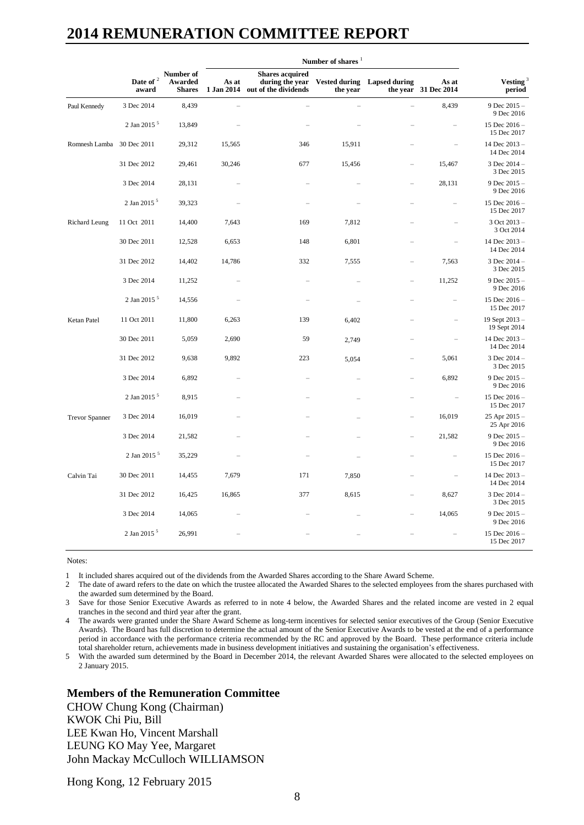|                           |                               |                                       | Number of shares    |                                                                   |                                  |                      |                               |                                |
|---------------------------|-------------------------------|---------------------------------------|---------------------|-------------------------------------------------------------------|----------------------------------|----------------------|-------------------------------|--------------------------------|
|                           | Date of <sup>2</sup><br>award | Number of<br>Awarded<br><b>Shares</b> | As at<br>1 Jan 2014 | <b>Shares acquired</b><br>during the year<br>out of the dividends | <b>Vested during</b><br>the year | <b>Lapsed during</b> | As at<br>the year 31 Dec 2014 | Vesting $^{\rm 3}$<br>period   |
| Paul Kennedy              | 3 Dec 2014                    | 8,439                                 |                     | $\equiv$                                                          | $\equiv$                         |                      | 8,439                         | 9 Dec 2015 -<br>9 Dec 2016     |
|                           | 2 Jan 2015 <sup>5</sup>       | 13,849                                |                     |                                                                   |                                  |                      |                               | 15 Dec 2016-<br>15 Dec 2017    |
| Romnesh Lamba 30 Dec 2011 |                               | 29,312                                | 15,565              | 346                                                               | 15,911                           |                      |                               | 14 Dec 2013-<br>14 Dec 2014    |
|                           | 31 Dec 2012                   | 29,461                                | 30,246              | 677                                                               | 15,456                           |                      | 15,467                        | 3 Dec 2014 -<br>3 Dec 2015     |
|                           | 3 Dec 2014                    | 28,131                                |                     |                                                                   |                                  |                      | 28,131                        | 9 Dec $2015 -$<br>9 Dec 2016   |
|                           | 2 Jan 2015 <sup>5</sup>       | 39,323                                |                     |                                                                   |                                  |                      |                               | 15 Dec 2016-<br>15 Dec 2017    |
| Richard Leung             | 11 Oct 2011                   | 14,400                                | 7,643               | 169                                                               | 7,812                            |                      |                               | $3$ Oct $2013 -$<br>3 Oct 2014 |
|                           | 30 Dec 2011                   | 12,528                                | 6,653               | 148                                                               | 6,801                            |                      |                               | 14 Dec 2013-<br>14 Dec 2014    |
|                           | 31 Dec 2012                   | 14,402                                | 14,786              | 332                                                               | 7,555                            |                      | 7,563                         | 3 Dec 2014 -<br>3 Dec 2015     |
|                           | 3 Dec 2014                    | 11,252                                |                     |                                                                   |                                  |                      | 11,252                        | 9 Dec 2015 -<br>9 Dec 2016     |
|                           | 2 Jan 2015 <sup>5</sup>       | 14,556                                |                     |                                                                   |                                  |                      | $\overline{\phantom{0}}$      | 15 Dec 2016-<br>15 Dec 2017    |
| Ketan Patel               | 11 Oct 2011                   | 11,800                                | 6,263               | 139                                                               | 6,402                            |                      |                               | 19 Sept 2013-<br>19 Sept 2014  |
|                           | 30 Dec 2011                   | 5,059                                 | 2,690               | 59                                                                | 2,749                            |                      | L.                            | 14 Dec 2013-<br>14 Dec 2014    |
|                           | 31 Dec 2012                   | 9,638                                 | 9,892               | 223                                                               | 5,054                            |                      | 5,061                         | 3 Dec 2014 -<br>3 Dec 2015     |
|                           | 3 Dec 2014                    | 6,892                                 |                     |                                                                   |                                  |                      | 6,892                         | 9 Dec 2015 -<br>9 Dec 2016     |
|                           | 2 Jan 2015 <sup>5</sup>       | 8,915                                 |                     |                                                                   |                                  |                      |                               | 15 Dec 2016 -<br>15 Dec 2017   |
| <b>Trevor Spanner</b>     | 3 Dec 2014                    | 16,019                                |                     |                                                                   |                                  |                      | 16,019                        | 25 Apr 2015 -<br>25 Apr 2016   |
|                           | 3 Dec 2014                    | 21,582                                |                     |                                                                   |                                  |                      | 21,582                        | 9 Dec $2015 -$<br>9 Dec 2016   |
|                           | 2 Jan 2015 <sup>5</sup>       | 35,229                                |                     |                                                                   |                                  |                      |                               | 15 Dec 2016 -<br>15 Dec 2017   |
| Calvin Tai                | 30 Dec 2011                   | 14,455                                | 7,679               | 171                                                               | 7,850                            |                      |                               | 14 Dec 2013-<br>14 Dec 2014    |
|                           | 31 Dec 2012                   | 16,425                                | 16,865              | 377                                                               | 8,615                            |                      | 8,627                         | 3 Dec $2014 -$<br>3 Dec 2015   |
|                           | 3 Dec 2014                    | 14,065                                |                     |                                                                   |                                  |                      | 14,065                        | 9 Dec $2015 -$<br>9 Dec 2016   |
|                           | 2 Jan 2015 <sup>5</sup>       | 26,991                                |                     |                                                                   |                                  |                      |                               | 15 Dec 2016-<br>15 Dec 2017    |

Notes:

1 It included shares acquired out of the dividends from the Awarded Shares according to the Share Award Scheme.

2 The date of award refers to the date on which the trustee allocated the Awarded Shares to the selected employees from the shares purchased with the awarded sum determined by the Board.

3 Save for those Senior Executive Awards as referred to in note 4 below, the Awarded Shares and the related income are vested in 2 equal tranches in the second and third year after the grant.

4 The awards were granted under the Share Award Scheme as long-term incentives for selected senior executives of the Group (Senior Executive Awards). The Board has full discretion to determine the actual amount of the Senior Executive Awards to be vested at the end of a performance period in accordance with the performance criteria recommended by the RC and approved by the Board. These performance criteria include total shareholder return, achievements made in business development initiatives and sustaining the organisation's effectiveness.

5 With the awarded sum determined by the Board in December 2014, the relevant Awarded Shares were allocated to the selected employees on 2 January 2015.

### **Members of the Remuneration Committee**

CHOW Chung Kong (Chairman) KWOK Chi Piu, Bill LEE Kwan Ho, Vincent Marshall LEUNG KO May Yee, Margaret John Mackay McCulloch WILLIAMSON

Hong Kong, 12 February 2015